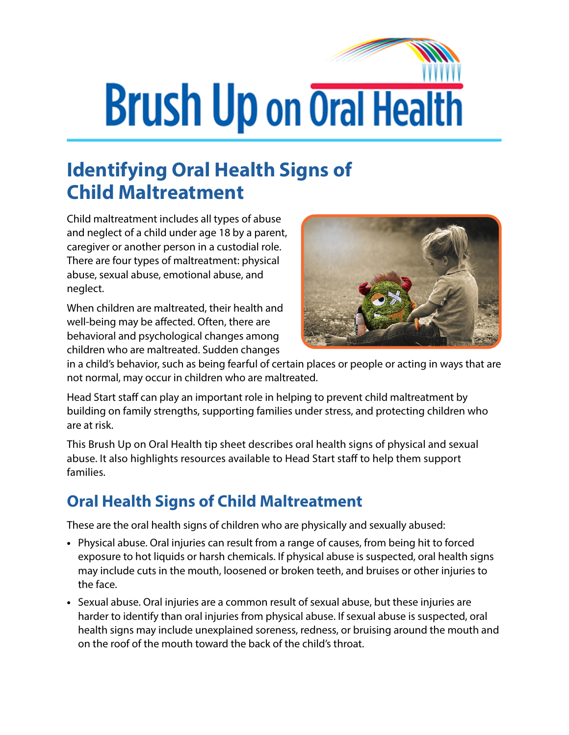## **Brush Up on Oral Health**

## **Identifying Oral Health Signs of Child Maltreatment**

Child maltreatment includes all types of abuse and neglect of a child under age 18 by a parent, caregiver or another person in a custodial role. There are four types of maltreatment: physical abuse, sexual abuse, emotional abuse, and neglect.

When children are maltreated, their health and well-being may be affected. Often, there are behavioral and psychological changes among children who are maltreated. Sudden changes



in a child's behavior, such as being fearful of certain places or people or acting in ways that are not normal, may occur in children who are maltreated.

Head Start staff can play an important role in helping to prevent child maltreatment by building on family strengths, supporting families under stress, and protecting children who are at risk.

This Brush Up on Oral Health tip sheet describes oral health signs of physical and sexual abuse. It also highlights resources available to Head Start staff to help them support families.

## **Oral Health Signs of Child Maltreatment**

These are the oral health signs of children who are physically and sexually abused:

- **•** Physical abuse. Oral injuries can result from a range of causes, from being hit to forced exposure to hot liquids or harsh chemicals. If physical abuse is suspected, oral health signs may include cuts in the mouth, loosened or broken teeth, and bruises or other injuries to the face.
- **•** Sexual abuse. Oral injuries are a common result of sexual abuse, but these injuries are harder to identify than oral injuries from physical abuse. If sexual abuse is suspected, oral health signs may include unexplained soreness, redness, or bruising around the mouth and on the roof of the mouth toward the back of the child's throat.